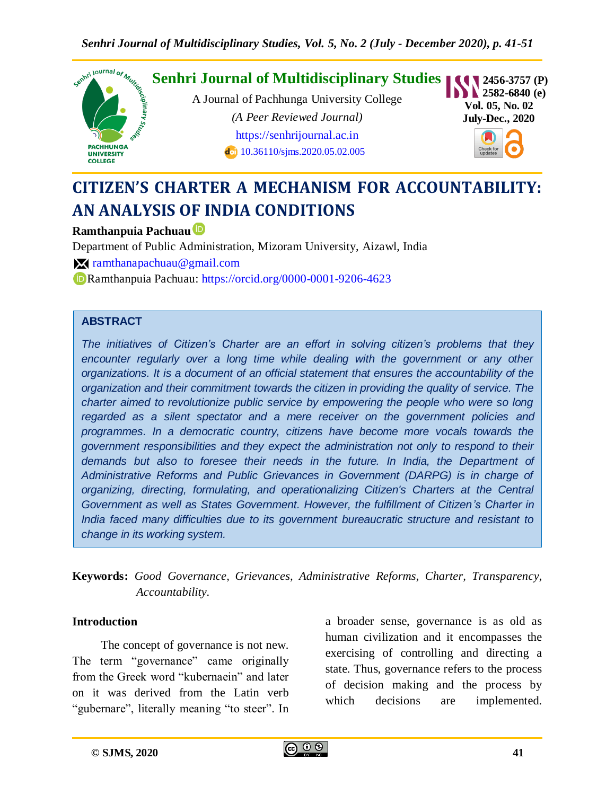

# **CITIZEN'S CHARTER A MECHANISM FOR ACCOUNTABILITY: AN ANALYSIS OF INDIA CONDITIONS**

#### **Ramthanpuia Pachuau**

Department of Public Administration, Mizoram University, Aizawl, India

[ramthanapachuau@gmail.com](mailto:%20ramthanapachuau@gmail.com)

Ramthanpuia Pachuau: <https://orcid.org/0000-0001-9206-4623>

#### **ABSTRACT**

*The initiatives of Citizen's Charter are an effort in solving citizen's problems that they*  encounter regularly over a long time while dealing with the government or any other *organizations. It is a document of an official statement that ensures the accountability of the organization and their commitment towards the citizen in providing the quality of service. The charter aimed to revolutionize public service by empowering the people who were so long regarded as a silent spectator and a mere receiver on the government policies and programmes. In a democratic country, citizens have become more vocals towards the government responsibilities and they expect the administration not only to respond to their*  demands but also to foresee their needs in the future. In India, the Department of *Administrative Reforms and Public Grievances in Government (DARPG) is in charge of organizing, directing, formulating, and operationalizing Citizen's Charters at the Central Government as well as States Government. However, the fulfillment of Citizen's Charter in India faced many difficulties due to its government bureaucratic structure and resistant to change in its working system.*

**Keywords:** *Good Governance, Grievances, Administrative Reforms, Charter, Transparency, Accountability.*

#### **Introduction**

The concept of governance is not new. The term "governance" came originally from the Greek word "kubernaein" and later on it was derived from the Latin verb "gubernare", literally meaning "to steer". In a broader sense, governance is as old as human civilization and it encompasses the exercising of controlling and directing a state. Thus, governance refers to the process of decision making and the process by which decisions are implemented.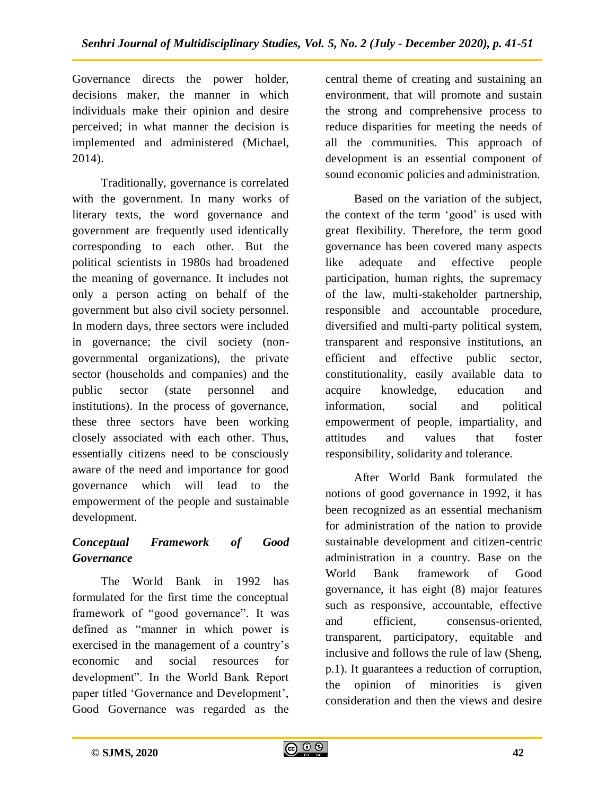Governance directs the power holder, decisions maker, the manner in which individuals make their opinion and desire perceived; in what manner the decision is implemented and administered (Michael, 2014).

Traditionally, governance is correlated with the government. In many works of literary texts, the word governance and government are frequently used identically corresponding to each other. But the political scientists in 1980s had broadened the meaning of governance. It includes not only a person acting on behalf of the government but also civil society personnel. In modern days, three sectors were included in governance; the civil society (nongovernmental organizations), the private sector (households and companies) and the public sector (state personnel and institutions). In the process of governance, these three sectors have been working closely associated with each other. Thus, essentially citizens need to be consciously aware of the need and importance for good governance which will lead to the empowerment of the people and sustainable development.

# *Conceptual Framework of Good Governance*

The World Bank in 1992 has formulated for the first time the conceptual framework of "good governance". It was defined as "manner in which power is exercised in the management of a country"s economic and social resources for development". In the World Bank Report paper titled 'Governance and Development', Good Governance was regarded as the

central theme of creating and sustaining an environment, that will promote and sustain the strong and comprehensive process to reduce disparities for meeting the needs of all the communities. This approach of development is an essential component of sound economic policies and administration.

Based on the variation of the subject, the context of the term 'good' is used with great flexibility. Therefore, the term good governance has been covered many aspects like adequate and effective people participation, human rights, the supremacy of the law, multi-stakeholder partnership, responsible and accountable procedure, diversified and multi-party political system, transparent and responsive institutions, an efficient and effective public sector, constitutionality, easily available data to acquire knowledge, education and information, social and political empowerment of people, impartiality, and attitudes and values that foster responsibility, solidarity and tolerance.

After World Bank formulated the notions of good governance in 1992, it has been recognized as an essential mechanism for administration of the nation to provide sustainable development and citizen-centric administration in a country. Base on the World Bank framework of Good governance, it has eight (8) major features such as responsive, accountable, effective and efficient, consensus-oriented, transparent, participatory, equitable and inclusive and follows the rule of law (Sheng, p.1). It guarantees a reduction of corruption, the opinion of minorities is given consideration and then the views and desire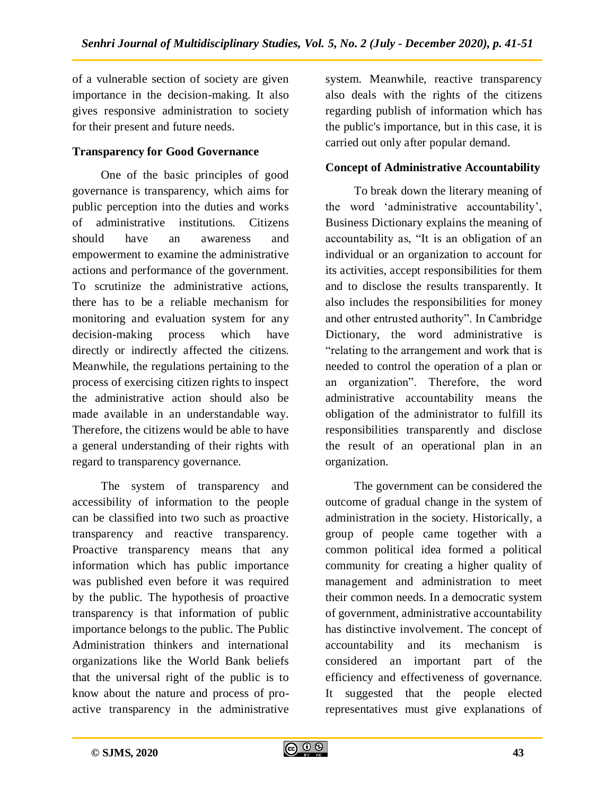of a vulnerable section of society are given importance in the decision-making. It also gives responsive administration to society for their present and future needs.

#### **Transparency for Good Governance**

One of the basic principles of good governance is transparency, which aims for public perception into the duties and works of administrative institutions. Citizens should have an awareness and empowerment to examine the administrative actions and performance of the government. To scrutinize the administrative actions, there has to be a reliable mechanism for monitoring and evaluation system for any decision-making process which have directly or indirectly affected the citizens. Meanwhile, the regulations pertaining to the process of exercising citizen rights to inspect the administrative action should also be made available in an understandable way. Therefore, the citizens would be able to have a general understanding of their rights with regard to transparency governance.

The system of transparency and accessibility of information to the people can be classified into two such as proactive transparency and reactive transparency. Proactive transparency means that any information which has public importance was published even before it was required by the public. The hypothesis of proactive transparency is that information of public importance belongs to the public. The Public Administration thinkers and international organizations like the World Bank beliefs that the universal right of the public is to know about the nature and process of proactive transparency in the administrative

system. Meanwhile, reactive transparency also deals with the rights of the citizens regarding publish of information which has the public's importance, but in this case, it is carried out only after popular demand.

#### **Concept of Administrative Accountability**

To break down the literary meaning of the word "administrative accountability", Business Dictionary explains the meaning of accountability as, "It is an obligation of an individual or an organization to account for its activities, accept responsibilities for them and to disclose the results transparently. It also includes the responsibilities for money and other entrusted authority". In Cambridge Dictionary, the word administrative is "relating to the arrangement and work that is needed to control the operation of a plan or an organization". Therefore, the word administrative accountability means the obligation of the administrator to fulfill its responsibilities transparently and disclose the result of an operational plan in an organization.

The government can be considered the outcome of gradual change in the system of administration in the society. Historically, a group of people came together with a common political idea formed a political community for creating a higher quality of management and administration to meet their common needs. In a democratic system of government, administrative accountability has distinctive involvement. The concept of accountability and its mechanism is considered an important part of the efficiency and effectiveness of governance. It suggested that the people elected representatives must give explanations of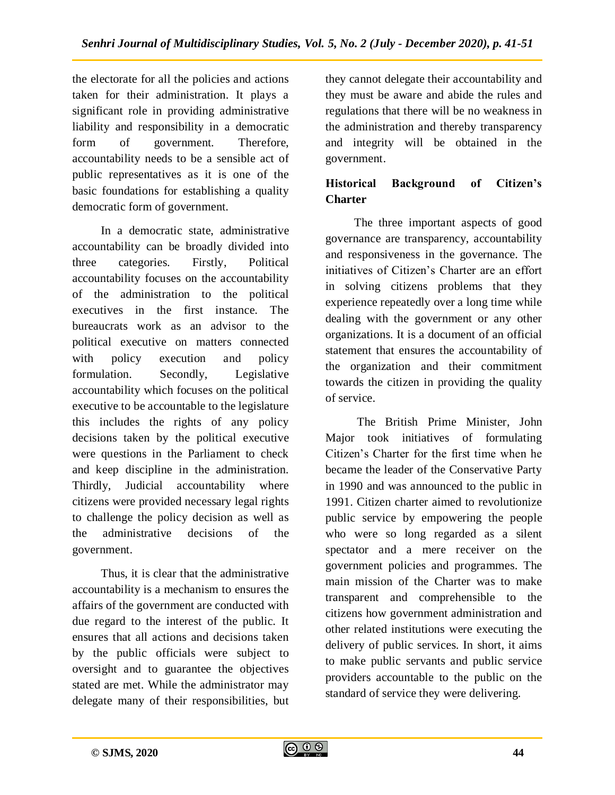the electorate for all the policies and actions taken for their administration. It plays a significant role in providing administrative liability and responsibility in a democratic form of government. Therefore, accountability needs to be a sensible act of public representatives as it is one of the basic foundations for establishing a quality democratic form of government.

In a democratic state, administrative accountability can be broadly divided into three categories. Firstly, Political accountability focuses on the accountability of the administration to the political executives in the first instance. The bureaucrats work as an advisor to the political executive on matters connected with policy execution and policy formulation. Secondly, Legislative accountability which focuses on the political executive to be accountable to the legislature this includes the rights of any policy decisions taken by the political executive were questions in the Parliament to check and keep discipline in the administration. Thirdly, Judicial accountability where citizens were provided necessary legal rights to challenge the policy decision as well as the administrative decisions of the government.

Thus, it is clear that the administrative accountability is a mechanism to ensures the affairs of the government are conducted with due regard to the interest of the public. It ensures that all actions and decisions taken by the public officials were subject to oversight and to guarantee the objectives stated are met. While the administrator may delegate many of their responsibilities, but

they cannot delegate their accountability and they must be aware and abide the rules and regulations that there will be no weakness in the administration and thereby transparency and integrity will be obtained in the government.

# **Historical Background of Citizen's Charter**

The three important aspects of good governance are transparency, accountability and responsiveness in the governance. The initiatives of Citizen"s Charter are an effort in solving citizens problems that they experience repeatedly over a long time while dealing with the government or any other organizations. It is a document of an official statement that ensures the accountability of the organization and their commitment towards the citizen in providing the quality of service.

The British Prime Minister, John Major took initiatives of formulating Citizen"s Charter for the first time when he became the leader of the Conservative Party in 1990 and was announced to the public in 1991. Citizen charter aimed to revolutionize public service by empowering the people who were so long regarded as a silent spectator and a mere receiver on the government policies and programmes. The main mission of the Charter was to make transparent and comprehensible to the citizens how government administration and other related institutions were executing the delivery of public services. In short, it aims to make public servants and public service providers accountable to the public on the standard of service they were delivering.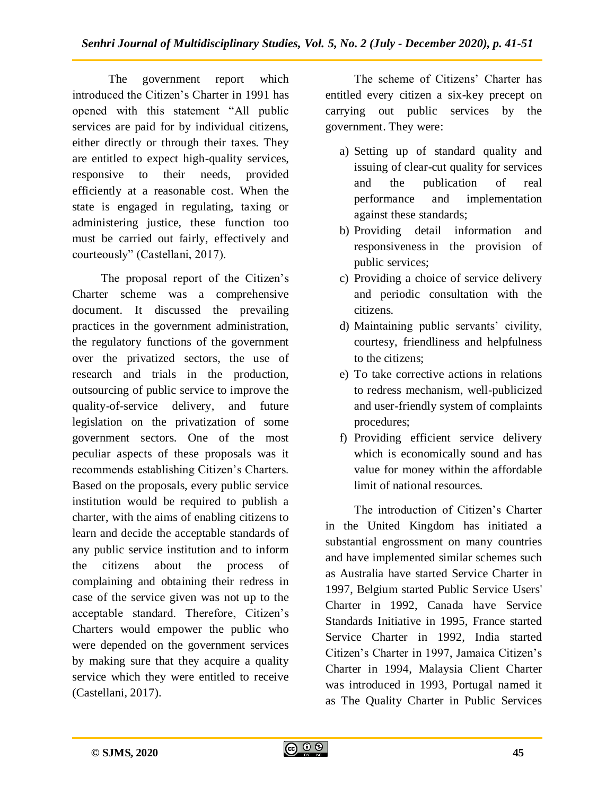The government report which introduced the Citizen"s Charter in 1991 has opened with this statement "All public services are paid for by individual citizens, either directly or through their taxes. They are entitled to expect high-quality services, responsive to their needs, provided efficiently at a reasonable cost. When the state is engaged in regulating, taxing or administering justice, these function too must be carried out fairly, effectively and courteously" (Castellani, 2017).

The proposal report of the Citizen"s Charter scheme was a comprehensive document. It discussed the prevailing practices in the government administration, the regulatory functions of the government over the privatized sectors, the use of research and trials in the production, outsourcing of public service to improve the quality-of-service delivery, and future legislation on the privatization of some government sectors. One of the most peculiar aspects of these proposals was it recommends establishing Citizen"s Charters. Based on the proposals, every public service institution would be required to publish a charter, with the aims of enabling citizens to learn and decide the acceptable standards of any public service institution and to inform the citizens about the process of complaining and obtaining their redress in case of the service given was not up to the acceptable standard. Therefore, Citizen"s Charters would empower the public who were depended on the government services by making sure that they acquire a quality service which they were entitled to receive (Castellani, 2017).

The scheme of Citizens' Charter has entitled every citizen a six-key precept on carrying out public services by the government. They were:

- a) Setting up of standard quality and issuing of clear-cut quality for services and the publication of real performance and implementation against these standards;
- b) Providing detail information and responsiveness in the provision of public services;
- c) Providing a choice of service delivery and periodic consultation with the citizens.
- d) Maintaining public servants' civility, courtesy, friendliness and helpfulness to the citizens;
- e) To take corrective actions in relations to redress mechanism, well-publicized and user-friendly system of complaints procedures;
- f) Providing efficient service delivery which is economically sound and has value for money within the affordable limit of national resources.

The introduction of Citizen's Charter in the United Kingdom has initiated a substantial engrossment on many countries and have implemented similar schemes such as Australia have started Service Charter in 1997, Belgium started Public Service Users' Charter in 1992, Canada have Service Standards Initiative in 1995, France started Service Charter in 1992, India started Citizen"s Charter in 1997, Jamaica Citizen"s Charter in 1994, Malaysia Client Charter was introduced in 1993, Portugal named it as The Quality Charter in Public Services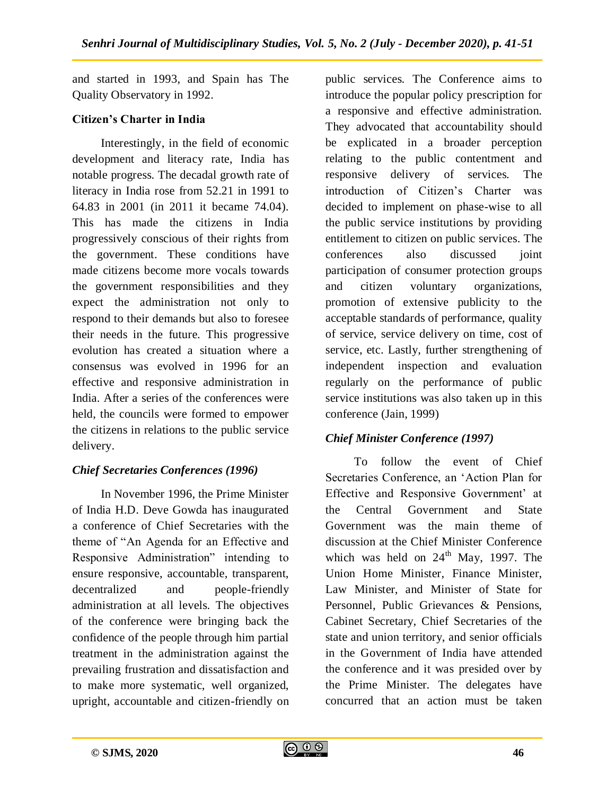and started in 1993, and Spain has The Quality Observatory in 1992.

# **Citizen's Charter in India**

Interestingly, in the field of economic development and literacy rate, India has notable progress. The decadal growth rate of literacy in India rose from 52.21 in 1991 to 64.83 in 2001 (in 2011 it became 74.04). This has made the citizens in India progressively conscious of their rights from the government. These conditions have made citizens become more vocals towards the government responsibilities and they expect the administration not only to respond to their demands but also to foresee their needs in the future. This progressive evolution has created a situation where a consensus was evolved in 1996 for an effective and responsive administration in India. After a series of the conferences were held, the councils were formed to empower the citizens in relations to the public service delivery.

# *Chief Secretaries Conferences (1996)*

In November 1996, the Prime Minister of India H.D. Deve Gowda has inaugurated a conference of Chief Secretaries with the theme of "An Agenda for an Effective and Responsive Administration" intending to ensure responsive, accountable, transparent, decentralized and people-friendly administration at all levels. The objectives of the conference were bringing back the confidence of the people through him partial treatment in the administration against the prevailing frustration and dissatisfaction and to make more systematic, well organized, upright, accountable and citizen-friendly on

public services. The Conference aims to introduce the popular policy prescription for a responsive and effective administration. They advocated that accountability should be explicated in a broader perception relating to the public contentment and responsive delivery of services. The introduction of Citizen"s Charter was decided to implement on phase-wise to all the public service institutions by providing entitlement to citizen on public services. The conferences also discussed joint participation of consumer protection groups and citizen voluntary organizations, promotion of extensive publicity to the acceptable standards of performance, quality of service, service delivery on time, cost of service, etc. Lastly, further strengthening of independent inspection and evaluation regularly on the performance of public service institutions was also taken up in this conference (Jain, 1999)

# *Chief Minister Conference (1997)*

To follow the event of Chief Secretaries Conference, an "Action Plan for Effective and Responsive Government' at the Central Government and State Government was the main theme of discussion at the Chief Minister Conference which was held on  $24<sup>th</sup>$  May, 1997. The Union Home Minister, Finance Minister, Law Minister, and Minister of State for Personnel, Public Grievances & Pensions, Cabinet Secretary, Chief Secretaries of the state and union territory, and senior officials in the Government of India have attended the conference and it was presided over by the Prime Minister. The delegates have concurred that an action must be taken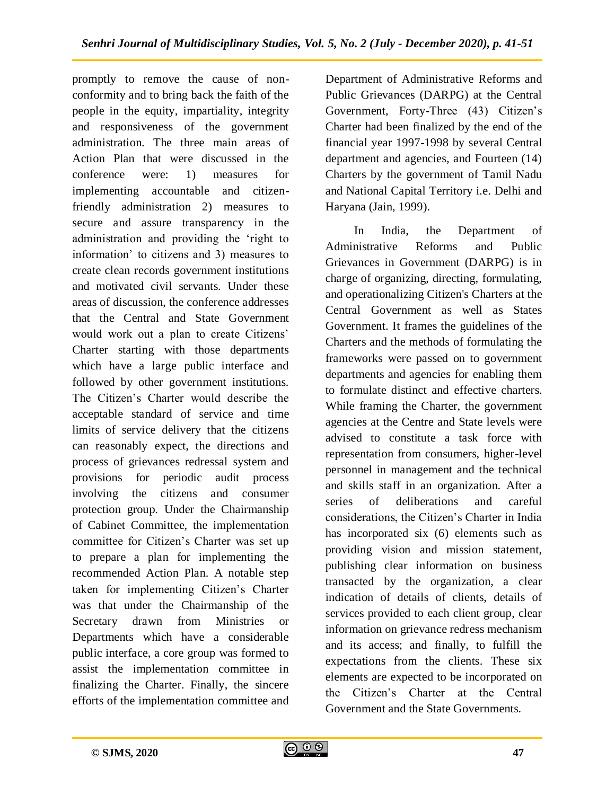promptly to remove the cause of nonconformity and to bring back the faith of the people in the equity, impartiality, integrity and responsiveness of the government administration. The three main areas of Action Plan that were discussed in the conference were: 1) measures for implementing accountable and citizenfriendly administration 2) measures to secure and assure transparency in the administration and providing the "right to information" to citizens and 3) measures to create clean records government institutions and motivated civil servants. Under these areas of discussion, the conference addresses that the Central and State Government would work out a plan to create Citizens" Charter starting with those departments which have a large public interface and followed by other government institutions. The Citizen's Charter would describe the acceptable standard of service and time limits of service delivery that the citizens can reasonably expect, the directions and process of grievances redressal system and provisions for periodic audit process involving the citizens and consumer protection group. Under the Chairmanship of Cabinet Committee, the implementation committee for Citizen"s Charter was set up to prepare a plan for implementing the recommended Action Plan. A notable step taken for implementing Citizen"s Charter was that under the Chairmanship of the Secretary drawn from Ministries or Departments which have a considerable public interface, a core group was formed to assist the implementation committee in finalizing the Charter. Finally, the sincere efforts of the implementation committee and

Department of Administrative Reforms and Public Grievances (DARPG) at the Central Government, Forty-Three (43) Citizen's Charter had been finalized by the end of the financial year 1997-1998 by several Central department and agencies, and Fourteen (14) Charters by the government of Tamil Nadu and National Capital Territory i.e. Delhi and Haryana (Jain, 1999).

In India, the Department of Administrative Reforms and Public Grievances in Government (DARPG) is in charge of organizing, directing, formulating, and operationalizing Citizen's Charters at the Central Government as well as States Government. It frames the guidelines of the Charters and the methods of formulating the frameworks were passed on to government departments and agencies for enabling them to formulate distinct and effective charters. While framing the Charter, the government agencies at the Centre and State levels were advised to constitute a task force with representation from consumers, higher-level personnel in management and the technical and skills staff in an organization. After a series of deliberations and careful considerations, the Citizen"s Charter in India has incorporated six (6) elements such as providing vision and mission statement, publishing clear information on business transacted by the organization, a clear indication of details of clients, details of services provided to each client group, clear information on grievance redress mechanism and its access; and finally, to fulfill the expectations from the clients. These six elements are expected to be incorporated on the Citizen"s Charter at the Central Government and the State Governments.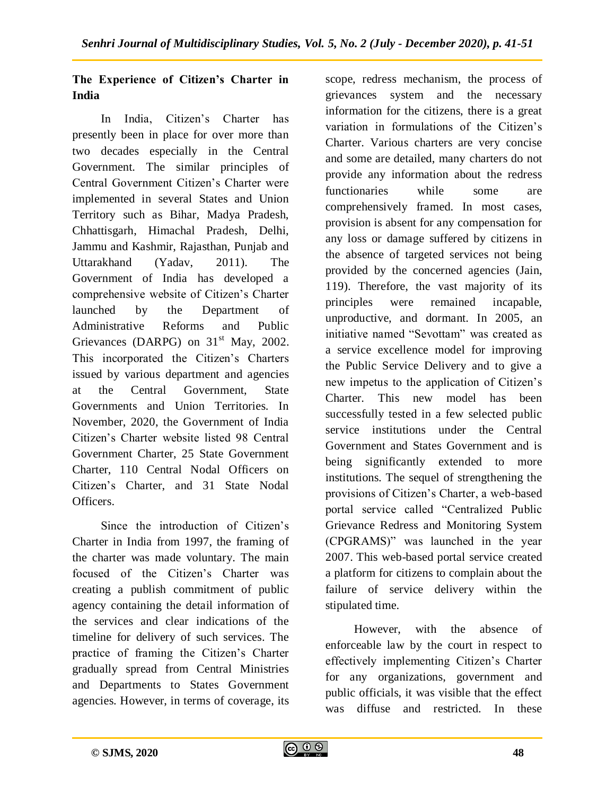# **The Experience of Citizen's Charter in India**

In India, Citizen"s Charter has presently been in place for over more than two decades especially in the Central Government. The similar principles of Central Government Citizen"s Charter were implemented in several States and Union Territory such as Bihar, Madya Pradesh, Chhattisgarh, Himachal Pradesh, Delhi, Jammu and Kashmir, Rajasthan, Punjab and Uttarakhand (Yadav, 2011). The Government of India has developed a comprehensive website of Citizen"s Charter launched by the Department of Administrative Reforms and Public Grievances (DARPG) on  $31<sup>st</sup>$  May, 2002. This incorporated the Citizen"s Charters issued by various department and agencies at the Central Government, State Governments and Union Territories. In November, 2020, the Government of India Citizen"s Charter website listed 98 Central Government Charter, 25 State Government Charter, 110 Central Nodal Officers on Citizen"s Charter, and 31 State Nodal Officers.

Since the introduction of Citizen's Charter in India from 1997, the framing of the charter was made voluntary. The main focused of the Citizen"s Charter was creating a publish commitment of public agency containing the detail information of the services and clear indications of the timeline for delivery of such services. The practice of framing the Citizen"s Charter gradually spread from Central Ministries and Departments to States Government agencies. However, in terms of coverage, its

scope, redress mechanism, the process of grievances system and the necessary information for the citizens, there is a great variation in formulations of the Citizen"s Charter. Various charters are very concise and some are detailed, many charters do not provide any information about the redress functionaries while some are comprehensively framed. In most cases, provision is absent for any compensation for any loss or damage suffered by citizens in the absence of targeted services not being provided by the concerned agencies (Jain, 119). Therefore, the vast majority of its principles were remained incapable, unproductive, and dormant. In 2005, an initiative named "Sevottam" was created as a service excellence model for improving the Public Service Delivery and to give a new impetus to the application of Citizen"s Charter. This new model has been successfully tested in a few selected public service institutions under the Central Government and States Government and is being significantly extended to more institutions. The sequel of strengthening the provisions of Citizen"s Charter, a web-based portal service called "Centralized Public Grievance Redress and Monitoring System (CPGRAMS)" was launched in the year 2007. This web-based portal service created a platform for citizens to complain about the failure of service delivery within the stipulated time.

However, with the absence of enforceable law by the court in respect to effectively implementing Citizen"s Charter for any organizations, government and public officials, it was visible that the effect was diffuse and restricted. In these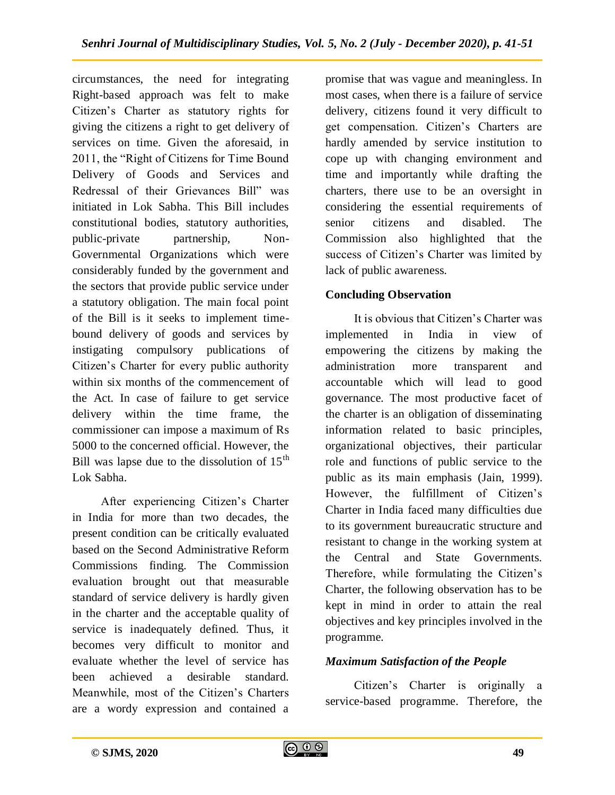circumstances, the need for integrating Right-based approach was felt to make Citizen"s Charter as statutory rights for giving the citizens a right to get delivery of services on time. Given the aforesaid, in 2011, the "Right of Citizens for Time Bound Delivery of Goods and Services and Redressal of their Grievances Bill" was initiated in Lok Sabha. This Bill includes constitutional bodies, statutory authorities, public-private partnership, Non-Governmental Organizations which were considerably funded by the government and the sectors that provide public service under a statutory obligation. The main focal point of the Bill is it seeks to implement timebound delivery of goods and services by instigating compulsory publications of Citizen"s Charter for every public authority within six months of the commencement of the Act. In case of failure to get service delivery within the time frame, the commissioner can impose a maximum of Rs 5000 to the concerned official. However, the Bill was lapse due to the dissolution of  $15<sup>th</sup>$ Lok Sabha.

After experiencing Citizen"s Charter in India for more than two decades, the present condition can be critically evaluated based on the Second Administrative Reform Commissions finding. The Commission evaluation brought out that measurable standard of service delivery is hardly given in the charter and the acceptable quality of service is inadequately defined. Thus, it becomes very difficult to monitor and evaluate whether the level of service has been achieved a desirable standard. Meanwhile, most of the Citizen's Charters are a wordy expression and contained a

promise that was vague and meaningless. In most cases, when there is a failure of service delivery, citizens found it very difficult to get compensation. Citizen"s Charters are hardly amended by service institution to cope up with changing environment and time and importantly while drafting the charters, there use to be an oversight in considering the essential requirements of senior citizens and disabled. The Commission also highlighted that the success of Citizen"s Charter was limited by lack of public awareness.

## **Concluding Observation**

It is obvious that Citizen"s Charter was implemented in India in view of empowering the citizens by making the administration more transparent and accountable which will lead to good governance. The most productive facet of the charter is an obligation of disseminating information related to basic principles, organizational objectives, their particular role and functions of public service to the public as its main emphasis (Jain, 1999). However, the fulfillment of Citizen's Charter in India faced many difficulties due to its government bureaucratic structure and resistant to change in the working system at the Central and State Governments. Therefore, while formulating the Citizen's Charter, the following observation has to be kept in mind in order to attain the real objectives and key principles involved in the programme.

## *Maximum Satisfaction of the People*

Citizen"s Charter is originally a service-based programme. Therefore, the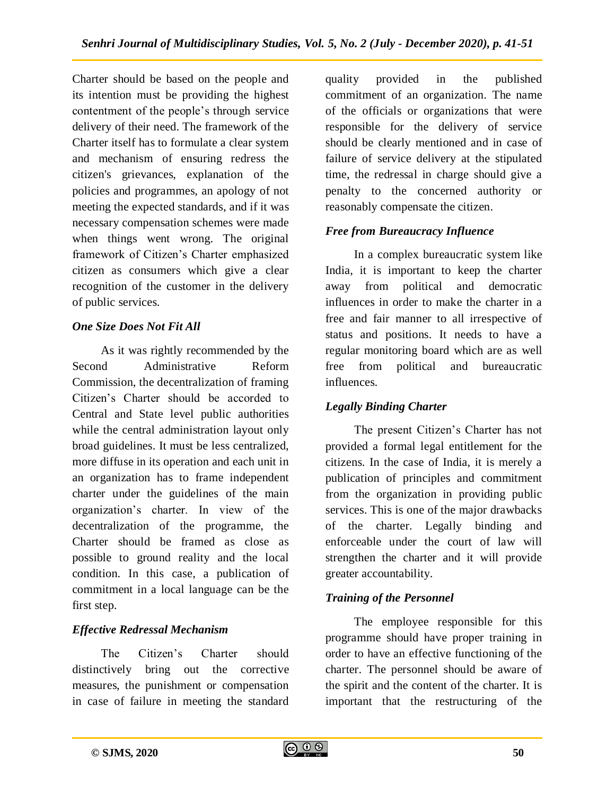Charter should be based on the people and its intention must be providing the highest contentment of the people"s through service delivery of their need. The framework of the Charter itself has to formulate a clear system and mechanism of ensuring redress the citizen's grievances, explanation of the policies and programmes, an apology of not meeting the expected standards, and if it was necessary compensation schemes were made when things went wrong. The original framework of Citizen"s Charter emphasized citizen as consumers which give a clear recognition of the customer in the delivery of public services.

## *One Size Does Not Fit All*

As it was rightly recommended by the Second Administrative Reform Commission, the decentralization of framing Citizen"s Charter should be accorded to Central and State level public authorities while the central administration layout only broad guidelines. It must be less centralized, more diffuse in its operation and each unit in an organization has to frame independent charter under the guidelines of the main organization"s charter. In view of the decentralization of the programme, the Charter should be framed as close as possible to ground reality and the local condition. In this case, a publication of commitment in a local language can be the first step.

## *Effective Redressal Mechanism*

The Citizen"s Charter should distinctively bring out the corrective measures, the punishment or compensation in case of failure in meeting the standard

quality provided in the published commitment of an organization. The name of the officials or organizations that were responsible for the delivery of service should be clearly mentioned and in case of failure of service delivery at the stipulated time, the redressal in charge should give a penalty to the concerned authority or reasonably compensate the citizen.

## *Free from Bureaucracy Influence*

In a complex bureaucratic system like India, it is important to keep the charter away from political and democratic influences in order to make the charter in a free and fair manner to all irrespective of status and positions. It needs to have a regular monitoring board which are as well free from political and bureaucratic influences.

# *Legally Binding Charter*

The present Citizen"s Charter has not provided a formal legal entitlement for the citizens. In the case of India, it is merely a publication of principles and commitment from the organization in providing public services. This is one of the major drawbacks of the charter. Legally binding and enforceable under the court of law will strengthen the charter and it will provide greater accountability.

## *Training of the Personnel*

The employee responsible for this programme should have proper training in order to have an effective functioning of the charter. The personnel should be aware of the spirit and the content of the charter. It is important that the restructuring of the